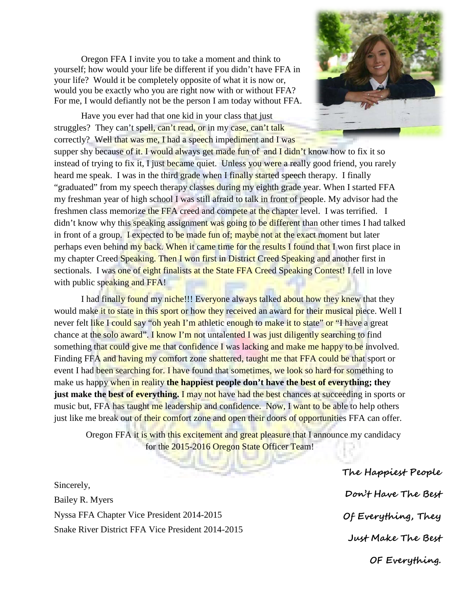Oregon FFA I invite you to take a moment and think to yourself; how would your life be different if you didn't have FFA in your life? Would it be completely opposite of what it is now or, would you be exactly who you are right now with or without FFA? For me, I would defiantly not be the person I am today without FFA.



Have you ever had that one kid in your class that just struggles? They can't spell, can't read, or in my case, can't talk correctly? Well that was me, I had a speech impediment and I was supper shy because of it. I would always get made fun of and I didn't know how to fix it so instead of trying to fix it, I just became quiet. Unless you were a really good friend, you rarely heard me speak. I was in the third grade when I finally started speech therapy. I finally "graduated" from my speech therapy classes during my eighth grade year. When I started FFA my freshman year of high school I was still afraid to talk in front of people. My advisor had the freshmen class memorize the FFA creed and compete at the chapter level. I was terrified. I didn't know why this speaking assignment was going to be different than other times I had talked in front of a group. I expected to be made fun of; maybe not at the exact moment but later perhaps even behind my back. When it came time for the results I found that I won first place in my chapter Creed Speaking. Then I won first in District Creed Speaking and another first in sectionals. I was one of eight finalists at the State FFA Creed Speaking Contest! I fell in love with public speaking and FFA!

I had finally found my niche!!! Everyone always talked about how they knew that they would make it to state in this sport or how they received an award for their musical piece. Well I never felt like I could say "oh yeah I'm athletic enough to make it to state" or "I have a great chance at the solo award". I know I'm not untalented I was just diligently searching to find something that could give me that confidence I was lacking and make me happy to be involved. Finding FFA and having my comfort zone shattered, taught me that FFA could be that sport or event I had been searching for. I have found that sometimes, we look so hard for something to make us happy when in reality **the happiest people don't have the best of everything; they just make the best of everything.** I may not have had the best chances at succeeding in sports or music but, FFA has taught me leadership and confidence. Now, I want to be able to help others just like me break out of their comfort zone and open their doors of opportunities FFA can offer.

Oregon FFA it is with this excitement and great pleasure that I announce my candidacy for the 2015-2016 Oregon State Officer Team!

Sincerely, Bailey R. Myers Nyssa FFA Chapter Vice President 2014-2015 Snake River District FFA Vice President 2014-2015 **The Happiest People Don't Have The Best Of Everything, They Just Make The Best OF Everything.**